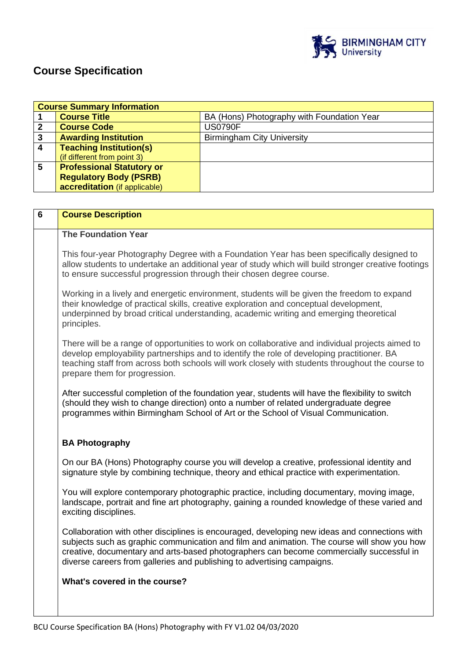

# **Course Specification**

|   | <b>Course Summary Information</b> |                                            |  |
|---|-----------------------------------|--------------------------------------------|--|
|   | <b>Course Title</b>               | BA (Hons) Photography with Foundation Year |  |
|   | <b>Course Code</b>                | <b>US0790F</b>                             |  |
| 3 | <b>Awarding Institution</b>       | <b>Birmingham City University</b>          |  |
|   | <b>Teaching Institution(s)</b>    |                                            |  |
|   | (if different from point 3)       |                                            |  |
| 5 | <b>Professional Statutory or</b>  |                                            |  |
|   | <b>Regulatory Body (PSRB)</b>     |                                            |  |
|   | accreditation (if applicable)     |                                            |  |

| 6 | <b>Course Description</b>                                                                                                                                                                                                                                                                                                                                           |
|---|---------------------------------------------------------------------------------------------------------------------------------------------------------------------------------------------------------------------------------------------------------------------------------------------------------------------------------------------------------------------|
|   | <b>The Foundation Year</b>                                                                                                                                                                                                                                                                                                                                          |
|   | This four-year Photography Degree with a Foundation Year has been specifically designed to<br>allow students to undertake an additional year of study which will build stronger creative footings<br>to ensure successful progression through their chosen degree course.                                                                                           |
|   | Working in a lively and energetic environment, students will be given the freedom to expand<br>their knowledge of practical skills, creative exploration and conceptual development,<br>underpinned by broad critical understanding, academic writing and emerging theoretical<br>principles.                                                                       |
|   | There will be a range of opportunities to work on collaborative and individual projects aimed to<br>develop employability partnerships and to identify the role of developing practitioner. BA<br>teaching staff from across both schools will work closely with students throughout the course to<br>prepare them for progression.                                 |
|   | After successful completion of the foundation year, students will have the flexibility to switch<br>(should they wish to change direction) onto a number of related undergraduate degree<br>programmes within Birmingham School of Art or the School of Visual Communication.                                                                                       |
|   | <b>BA Photography</b>                                                                                                                                                                                                                                                                                                                                               |
|   | On our BA (Hons) Photography course you will develop a creative, professional identity and<br>signature style by combining technique, theory and ethical practice with experimentation.                                                                                                                                                                             |
|   | You will explore contemporary photographic practice, including documentary, moving image,<br>landscape, portrait and fine art photography, gaining a rounded knowledge of these varied and<br>exciting disciplines.                                                                                                                                                 |
|   | Collaboration with other disciplines is encouraged, developing new ideas and connections with<br>subjects such as graphic communication and film and animation. The course will show you how<br>creative, documentary and arts-based photographers can become commercially successful in<br>diverse careers from galleries and publishing to advertising campaigns. |
|   | What's covered in the course?                                                                                                                                                                                                                                                                                                                                       |
|   |                                                                                                                                                                                                                                                                                                                                                                     |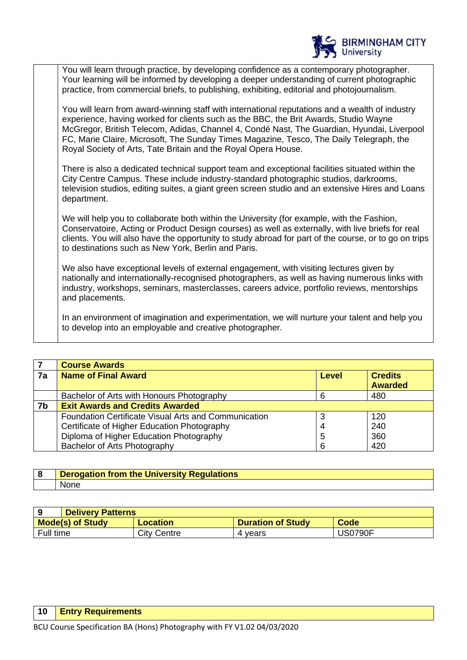

You will learn through practice, by developing confidence as a contemporary photographer. Your learning will be informed by developing a deeper understanding of current photographic practice, from commercial briefs, to publishing, exhibiting, editorial and photojournalism.

You will learn from award-winning staff with international reputations and a wealth of industry experience, having worked for clients such as the BBC, the Brit Awards, Studio Wayne McGregor, British Telecom, Adidas, Channel 4, Condé Nast, The Guardian, Hyundai, Liverpool FC, Marie Claire, Microsoft, The Sunday Times Magazine, Tesco, The Daily Telegraph, the Royal Society of Arts, Tate Britain and the Royal Opera House.

There is also a dedicated technical support team and exceptional facilities situated within the City Centre Campus. These include industry-standard photographic studios, darkrooms, television studios, editing suites, a giant green screen studio and an extensive Hires and Loans department.

We will help you to collaborate both within the University (for example, with the Fashion, Conservatoire, Acting or Product Design courses) as well as externally, with live briefs for real clients. You will also have the opportunity to study abroad for part of the course, or to go on trips to destinations such as New York, Berlin and Paris.

We also have exceptional levels of external engagement, with visiting lectures given by nationally and internationally-recognised photographers, as well as having numerous links with industry, workshops, seminars, masterclasses, careers advice, portfolio reviews, mentorships and placements.

In an environment of imagination and experimentation, we will nurture your talent and help you to develop into an employable and creative photographer.

|    | <b>Course Awards</b>                                        |              |                |
|----|-------------------------------------------------------------|--------------|----------------|
| 7a | <b>Name of Final Award</b>                                  | <b>Level</b> | <b>Credits</b> |
|    |                                                             |              | <b>Awarded</b> |
|    | Bachelor of Arts with Honours Photography                   |              | 480            |
| 7b | <b>Exit Awards and Credits Awarded</b>                      |              |                |
|    | <b>Foundation Certificate Visual Arts and Communication</b> |              | 120            |
|    | Certificate of Higher Education Photography                 | 4            | 240            |
|    | Diploma of Higher Education Photography                     | 5            | 360            |
|    | Bachelor of Arts Photography                                |              | 420            |

| Derogation from the University Regu'<br><b>Mations</b> |  |
|--------------------------------------------------------|--|
| <b>None</b>                                            |  |

|                         | <b>Delivery Patterns</b> |                          |                |  |
|-------------------------|--------------------------|--------------------------|----------------|--|
| <b>Mode(s) of Study</b> | <b>Location</b>          | <b>Duration of Study</b> | Code           |  |
| Full time               | City Centre              | 4 vears                  | <b>US0790F</b> |  |

#### **10 Entry Requirements**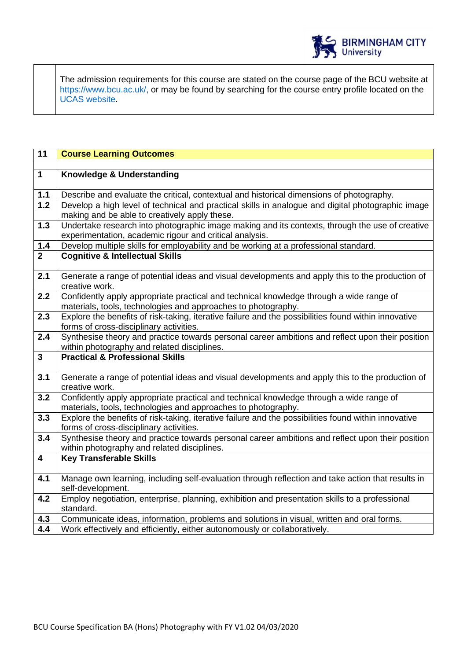

The admission requirements for this course are stated on the course page of the BCU website at https://www.bcu.ac.uk/, or may be found by searching for the course entry profile located on the UCAS website.

| $\overline{11}$         | <b>Course Learning Outcomes</b>                                                                                                                                       |
|-------------------------|-----------------------------------------------------------------------------------------------------------------------------------------------------------------------|
|                         |                                                                                                                                                                       |
| $\overline{1}$          | Knowledge & Understanding                                                                                                                                             |
| 1.1                     | Describe and evaluate the critical, contextual and historical dimensions of photography.                                                                              |
| 1.2                     | Develop a high level of technical and practical skills in analogue and digital photographic image                                                                     |
|                         | making and be able to creatively apply these.                                                                                                                         |
| 1.3                     | Undertake research into photographic image making and its contexts, through the use of creative                                                                       |
|                         | experimentation, academic rigour and critical analysis.                                                                                                               |
| $1.4$                   | Develop multiple skills for employability and be working at a professional standard.                                                                                  |
| $\overline{2}$          | <b>Cognitive &amp; Intellectual Skills</b>                                                                                                                            |
| 2.1                     | Generate a range of potential ideas and visual developments and apply this to the production of                                                                       |
|                         | creative work.                                                                                                                                                        |
| 2.2                     | Confidently apply appropriate practical and technical knowledge through a wide range of                                                                               |
| 2.3                     | materials, tools, technologies and approaches to photography.<br>Explore the benefits of risk-taking, iterative failure and the possibilities found within innovative |
|                         | forms of cross-disciplinary activities.                                                                                                                               |
| 2.4                     | Synthesise theory and practice towards personal career ambitions and reflect upon their position                                                                      |
|                         | within photography and related disciplines.                                                                                                                           |
| $\overline{\mathbf{3}}$ | <b>Practical &amp; Professional Skills</b>                                                                                                                            |
|                         |                                                                                                                                                                       |
| 3.1                     | Generate a range of potential ideas and visual developments and apply this to the production of                                                                       |
|                         | creative work.                                                                                                                                                        |
| $\overline{3.2}$        | Confidently apply appropriate practical and technical knowledge through a wide range of                                                                               |
|                         | materials, tools, technologies and approaches to photography.                                                                                                         |
| $\overline{3.3}$        | Explore the benefits of risk-taking, iterative failure and the possibilities found within innovative                                                                  |
| 3.4                     | forms of cross-disciplinary activities.<br>Synthesise theory and practice towards personal career ambitions and reflect upon their position                           |
|                         | within photography and related disciplines.                                                                                                                           |
| $\overline{4}$          | <b>Key Transferable Skills</b>                                                                                                                                        |
|                         |                                                                                                                                                                       |
| 4.1                     | Manage own learning, including self-evaluation through reflection and take action that results in                                                                     |
|                         | self-development.                                                                                                                                                     |
| 4.2                     | Employ negotiation, enterprise, planning, exhibition and presentation skills to a professional                                                                        |
|                         | standard.                                                                                                                                                             |
| 4.3                     | Communicate ideas, information, problems and solutions in visual, written and oral forms.                                                                             |
| 4.4                     | Work effectively and efficiently, either autonomously or collaboratively.                                                                                             |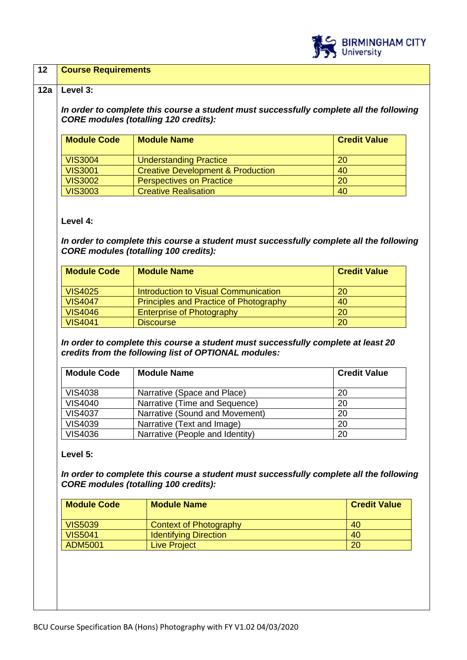

#### **12 Course Requirements**

#### **12a Level 3:**

*In order to complete this course a student must successfully complete all the following CORE modules (totalling 120 credits):*

| <b>Module Code</b> | <b>Module Name</b>                           | <b>Credit Value</b> |
|--------------------|----------------------------------------------|---------------------|
|                    |                                              |                     |
| <b>VIS3004</b>     | <b>Understanding Practice</b>                | <b>20</b>           |
| <b>VIS3001</b>     | <b>Creative Development &amp; Production</b> | 40                  |
| <b>VIS3002</b>     | <b>Perspectives on Practice</b>              | 20                  |
| <b>VIS3003</b>     | <b>Creative Realisation</b>                  | 40                  |

#### **Level 4:**

*In order to complete this course a student must successfully complete all the following CORE modules (totalling 100 credits):*

| <b>Module Code</b> | <b>Module Name</b>                            | <b>Credit Value</b> |
|--------------------|-----------------------------------------------|---------------------|
| <b>VIS4025</b>     | Introduction to Visual Communication          | 20                  |
| <b>VIS4047</b>     | <b>Principles and Practice of Photography</b> | 40                  |
| <b>VIS4046</b>     | <b>Enterprise of Photography</b>              | <b>20</b>           |
| <b>VIS4041</b>     | <b>Discourse</b>                              | 20                  |

*In order to complete this course a student must successfully complete at least 20 credits from the following list of OPTIONAL modules:*

| <b>Module Code</b> | <b>Module Name</b>              | <b>Credit Value</b> |
|--------------------|---------------------------------|---------------------|
| <b>VIS4038</b>     | Narrative (Space and Place)     | 20                  |
| <b>VIS4040</b>     | Narrative (Time and Sequence)   | 20                  |
| <b>VIS4037</b>     | Narrative (Sound and Movement)  | 20                  |
| <b>VIS4039</b>     | Narrative (Text and Image)      | 20                  |
| <b>VIS4036</b>     | Narrative (People and Identity) | 20                  |

#### **Level 5:**

*In order to complete this course a student must successfully complete all the following CORE modules (totalling 100 credits):*

| <b>Module Code</b> | <b>Module Name</b>            | <b>Credit Value</b> |
|--------------------|-------------------------------|---------------------|
| <b>VIS5039</b>     | <b>Context of Photography</b> | 40                  |
| <b>VIS5041</b>     | <b>Identifying Direction</b>  | 40                  |
| ADM5001            | <b>Live Project</b>           | 20                  |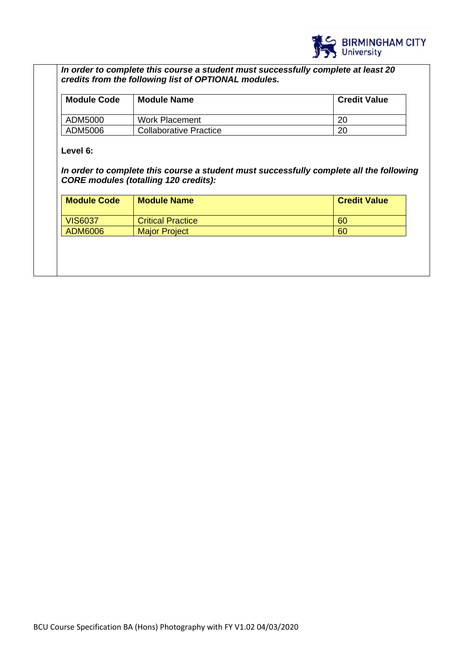

*In order to complete this course a student must successfully complete at least 20 credits from the following list of OPTIONAL modules.* 

| <b>Module Code</b> | Module Name                   | <b>Credit Value</b> |
|--------------------|-------------------------------|---------------------|
| ADM5000            | Work Placement                | 20                  |
| ADM5006            | <b>Collaborative Practice</b> | 20                  |

**Level 6:**

*In order to complete this course a student must successfully complete all the following CORE modules (totalling 120 credits):*

| <b>Module Code</b> | <b>Module Name</b>       | <b>Credit Value</b> |
|--------------------|--------------------------|---------------------|
| <b>VIS6037</b>     | <b>Critical Practice</b> | 60                  |
| ADM6006            | <b>Major Project</b>     | 60                  |
|                    |                          |                     |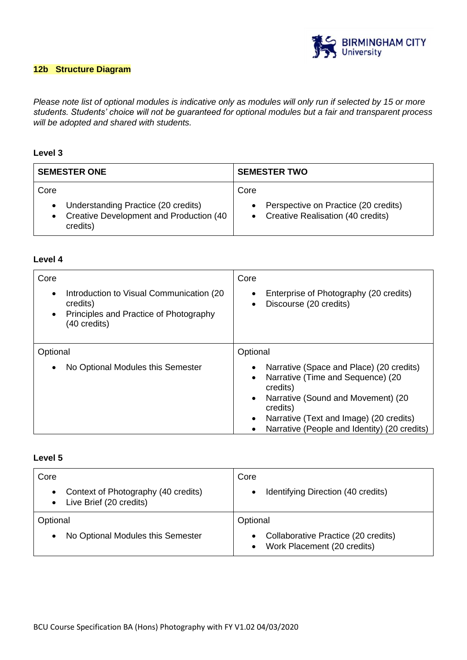

# **12b Structure Diagram**

*Please note list of optional modules is indicative only as modules will only run if selected by 15 or more students. Students' choice will not be guaranteed for optional modules but a fair and transparent process will be adopted and shared with students.*

# **Level 3**

| <b>SEMESTER ONE</b>                                                                                    | <b>SEMESTER TWO</b>                                                                 |
|--------------------------------------------------------------------------------------------------------|-------------------------------------------------------------------------------------|
| Core<br>• Understanding Practice (20 credits)<br>• Creative Development and Production (40<br>credits) | Core<br>Perspective on Practice (20 credits)<br>• Creative Realisation (40 credits) |

#### **Level 4**

| Core<br>Introduction to Visual Communication (20)<br>$\bullet$<br>credits)<br>Principles and Practice of Photography<br>$\bullet$<br>(40 credits) | Core<br>Enterprise of Photography (20 credits)<br>Discourse (20 credits)<br>$\bullet$                                                                                                                                                  |
|---------------------------------------------------------------------------------------------------------------------------------------------------|----------------------------------------------------------------------------------------------------------------------------------------------------------------------------------------------------------------------------------------|
| Optional                                                                                                                                          | Optional                                                                                                                                                                                                                               |
| No Optional Modules this Semester<br>$\bullet$                                                                                                    | Narrative (Space and Place) (20 credits)<br>Narrative (Time and Sequence) (20<br>credits)<br>Narrative (Sound and Movement) (20<br>credits)<br>Narrative (Text and Image) (20 credits)<br>Narrative (People and Identity) (20 credits) |

# **Level 5**

| Core                                                                                     | Core                                                                            |
|------------------------------------------------------------------------------------------|---------------------------------------------------------------------------------|
| Context of Photography (40 credits)<br>$\bullet$<br>Live Brief (20 credits)<br>$\bullet$ | Identifying Direction (40 credits)                                              |
| Optional                                                                                 | Optional                                                                        |
| No Optional Modules this Semester<br>$\bullet$                                           | Collaborative Practice (20 credits)<br>Work Placement (20 credits)<br>$\bullet$ |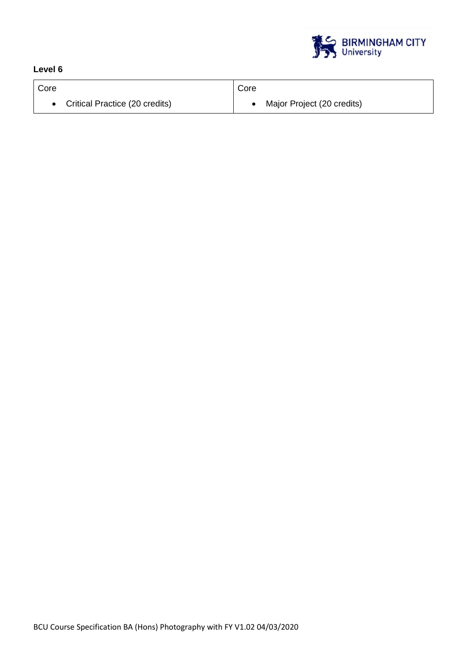

# **Level 6**

| Core                             | Core                       |
|----------------------------------|----------------------------|
| • Critical Practice (20 credits) | Major Project (20 credits) |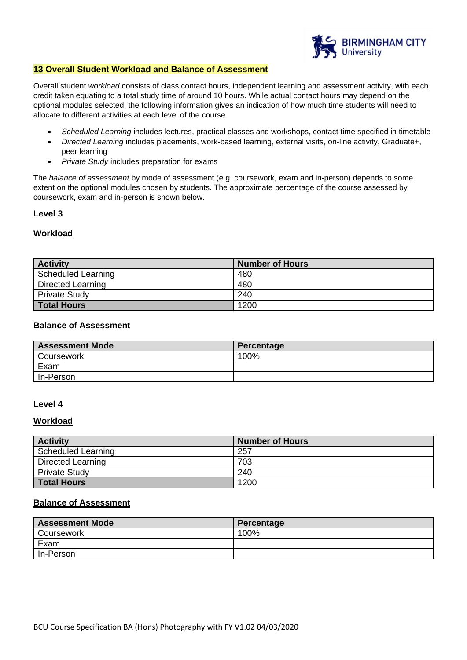

## **13 Overall Student Workload and Balance of Assessment**

Overall student *workload* consists of class contact hours, independent learning and assessment activity, with each credit taken equating to a total study time of around 10 hours. While actual contact hours may depend on the optional modules selected, the following information gives an indication of how much time students will need to allocate to different activities at each level of the course.

- *Scheduled Learning* includes lectures, practical classes and workshops, contact time specified in timetable
- *Directed Learning* includes placements, work-based learning, external visits, on-line activity, Graduate+, peer learning
- *Private Study* includes preparation for exams

The *balance of assessment* by mode of assessment (e.g. coursework, exam and in-person) depends to some extent on the optional modules chosen by students. The approximate percentage of the course assessed by coursework, exam and in-person is shown below.

#### **Level 3**

#### **Workload**

| <b>Activity</b>          | <b>Number of Hours</b> |
|--------------------------|------------------------|
| Scheduled Learning       | 480                    |
| <b>Directed Learning</b> | 480                    |
| <b>Private Study</b>     | 240                    |
| Total Hours              | 1200                   |

#### **Balance of Assessment**

| <b>Assessment Mode</b> | Percentage |
|------------------------|------------|
| <b>Coursework</b>      | 100%       |
| Exam                   |            |
| In-Person              |            |

#### **Level 4**

#### **Workload**

| <b>Activity</b>          | <b>Number of Hours</b> |
|--------------------------|------------------------|
| Scheduled Learning       | 257                    |
| <b>Directed Learning</b> | 703                    |
| <b>Private Study</b>     | 240                    |
| <b>Total Hours</b>       | 1200                   |

# **Balance of Assessment**

| <b>Assessment Mode</b> | Percentage |
|------------------------|------------|
| Coursework             | 100%       |
| Exam                   |            |
| In-Person              |            |